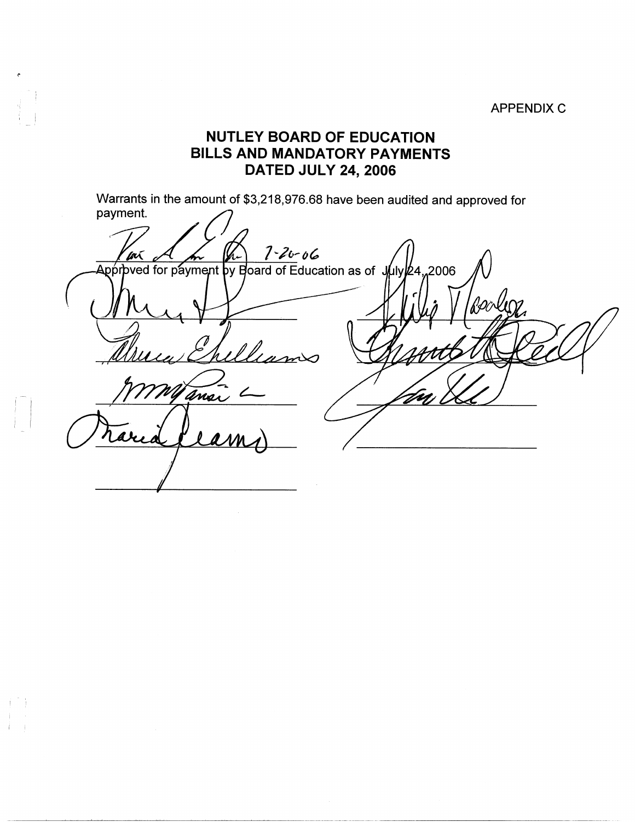**APPENDIX C** 

## **NUTLEY BOARD OF EDUCATION BILLS AND MANDATORY PAYMENTS DATED JULY 24, 2006**

 $\mathbf{i}$ 

 $\vert \ \ \vert$ 

 $\mathbb{I}^{\mathbb{I}}$  .

I <sup>I</sup>

Warrants in the amount of \$3,218,976.68 have been audited and approved for payment.

And An 1-20-06<br>Approved for payment by Board of Education as of July 24, 2006 Booles William Wyansi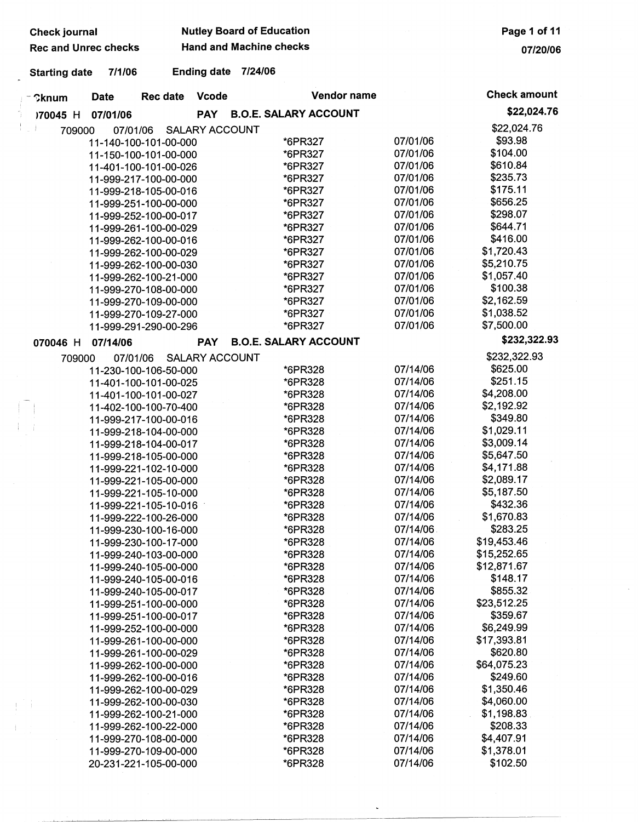| <b>Check journal</b>        |             |                                                |                       | <b>Nutley Board of Education</b> |                              |             |                      |                         | Page 1 of 11 |
|-----------------------------|-------------|------------------------------------------------|-----------------------|----------------------------------|------------------------------|-------------|----------------------|-------------------------|--------------|
| <b>Rec and Unrec checks</b> |             |                                                |                       | <b>Hand and Machine checks</b>   |                              |             |                      |                         | 07/20/06     |
| <b>Starting date</b>        | 7/1/06      |                                                | <b>Ending date</b>    | 7/24/06                          |                              |             |                      |                         |              |
| <b>Cknum</b>                | <b>Date</b> | <b>Rec date</b>                                | <b>Vcode</b>          |                                  |                              | Vendor name |                      | <b>Check amount</b>     |              |
| 170045 H                    | 07/01/06    |                                                | <b>PAY</b>            |                                  | <b>B.O.E. SALARY ACCOUNT</b> |             |                      |                         | \$22,024.76  |
| 709000                      | 07/01/06    |                                                | <b>SALARY ACCOUNT</b> |                                  |                              |             |                      | \$22,024.76             |              |
|                             |             | 11-140-100-101-00-000                          |                       |                                  | *6PR327                      |             | 07/01/06             | \$93.98                 |              |
|                             |             | 11-150-100-101-00-000                          |                       |                                  | *6PR327                      |             | 07/01/06             | \$104.00                |              |
|                             |             | 11-401-100-101-00-026                          |                       |                                  | *6PR327                      |             | 07/01/06             | \$610.84                |              |
|                             |             | 11-999-217-100-00-000                          |                       |                                  | *6PR327                      |             | 07/01/06             | \$235.73                |              |
|                             |             | 11-999-218-105-00-016                          |                       |                                  | *6PR327                      |             | 07/01/06             | \$175.11                |              |
|                             |             | 11-999-251-100-00-000                          |                       |                                  | *6PR327                      |             | 07/01/06             | \$656.25                |              |
|                             |             | 11-999-252-100-00-017                          |                       |                                  | *6PR327                      |             | 07/01/06             | \$298.07                |              |
|                             |             | 11-999-261-100-00-029                          |                       |                                  | *6PR327                      |             | 07/01/06             | \$644.71                |              |
|                             |             | 11-999-262-100-00-016                          |                       |                                  | *6PR327                      |             | 07/01/06             | \$416.00                |              |
|                             |             | 11-999-262-100-00-029                          |                       |                                  | *6PR327                      |             | 07/01/06             | \$1,720.43              |              |
|                             |             | 11-999-262-100-00-030                          |                       |                                  | *6PR327                      |             | 07/01/06             | \$5,210.75              |              |
|                             |             | 11-999-262-100-21-000                          |                       |                                  | *6PR327                      |             | 07/01/06             | \$1,057.40              |              |
|                             |             | 11-999-270-108-00-000                          |                       |                                  | *6PR327                      |             | 07/01/06             | \$100.38                |              |
|                             |             | 11-999-270-109-00-000                          |                       |                                  | *6PR327                      |             | 07/01/06             | \$2,162.59              |              |
|                             |             | 11-999-270-109-27-000                          |                       |                                  | *6PR327                      |             | 07/01/06             | \$1,038.52              |              |
|                             |             | 11-999-291-290-00-296                          |                       |                                  | *6PR327                      |             | 07/01/06             | \$7,500.00              |              |
| 070046 H                    | 07/14/06    |                                                | <b>PAY</b>            |                                  | <b>B.O.E. SALARY ACCOUNT</b> |             |                      | \$232,322.93            |              |
| 709000                      | 07/01/06    |                                                | <b>SALARY ACCOUNT</b> |                                  |                              |             |                      | \$232,322.93            |              |
|                             |             | 11-230-100-106-50-000                          |                       |                                  | *6PR328                      |             | 07/14/06             | \$625.00                |              |
|                             |             | 11-401-100-101-00-025                          |                       |                                  | *6PR328                      |             | 07/14/06             | \$251.15                |              |
|                             |             | 11-401-100-101-00-027                          |                       |                                  | *6PR328                      |             | 07/14/06             | \$4,208.00              |              |
|                             |             | 11-402-100-100-70-400                          |                       |                                  | *6PR328                      |             | 07/14/06             | \$2,192.92              |              |
|                             |             | 11-999-217-100-00-016                          |                       |                                  | *6PR328                      |             | 07/14/06             | \$349.80                |              |
|                             |             | 11-999-218-104-00-000                          |                       |                                  | *6PR328                      |             | 07/14/06             | \$1,029.11              |              |
|                             |             | 11-999-218-104-00-017                          |                       |                                  | *6PR328                      |             | 07/14/06             | \$3,009.14              |              |
|                             |             | 11-999-218-105-00-000                          |                       |                                  | *6PR328                      |             | 07/14/06             | \$5,647.50              |              |
|                             |             | 11-999-221-102-10-000                          |                       |                                  | *6PR328                      |             | 07/14/06             | \$4,171.88              |              |
|                             |             | 11-999-221-105-00-000                          |                       |                                  | *6PR328                      |             | 07/14/06             | \$2,089.17              |              |
|                             |             | 11-999-221-105-10-000                          |                       |                                  | *6PR328                      |             | 07/14/06             | \$5,187.50              |              |
|                             |             | 11-999-221-105-10-016                          |                       |                                  | *6PR328                      |             | 07/14/06             | \$432.36                |              |
|                             |             | 11-999-222-100-26-000                          |                       |                                  | *6PR328                      |             | 07/14/06             | \$1,670.83              |              |
|                             |             | 11-999-230-100-16-000                          |                       |                                  | *6PR328                      |             | 07/14/06             | \$283.25                |              |
|                             |             | 11-999-230-100-17-000                          |                       |                                  | *6PR328                      |             | 07/14/06             | \$19,453.46             |              |
|                             |             | 11-999-240-103-00-000                          |                       |                                  | *6PR328                      |             | 07/14/06             | \$15,252.65             |              |
|                             |             | 11-999-240-105-00-000                          |                       |                                  | *6PR328                      |             | 07/14/06             | \$12,871.67             |              |
|                             |             | 11-999-240-105-00-016                          |                       |                                  | *6PR328                      |             | 07/14/06             | \$148.17                |              |
|                             |             | 11-999-240-105-00-017                          |                       |                                  | *6PR328                      |             | 07/14/06             | \$855.32                |              |
|                             |             | 11-999-251-100-00-000                          |                       |                                  | *6PR328                      |             | 07/14/06             | \$23,512.25<br>\$359.67 |              |
|                             |             | 11-999-251-100-00-017                          |                       |                                  | *6PR328                      |             | 07/14/06<br>07/14/06 | \$6,249.99              |              |
|                             |             | 11-999-252-100-00-000                          |                       |                                  | *6PR328<br>*6PR328           |             | 07/14/06             | \$17,393.81             |              |
|                             |             | 11-999-261-100-00-000                          |                       |                                  | *6PR328                      |             | 07/14/06             | \$620.80                |              |
|                             |             | 11-999-261-100-00-029<br>11-999-262-100-00-000 |                       |                                  | *6PR328                      |             | 07/14/06             | \$64,075.23             |              |
|                             |             | 11-999-262-100-00-016                          |                       |                                  | *6PR328                      |             | 07/14/06             | \$249.60                |              |
|                             |             | 11-999-262-100-00-029                          |                       |                                  | *6PR328                      |             | 07/14/06             | \$1,350.46              |              |
|                             |             | 11-999-262-100-00-030                          |                       |                                  | *6PR328                      |             | 07/14/06             | \$4,060.00              |              |
|                             |             | 11-999-262-100-21-000                          |                       |                                  | *6PR328                      |             | 07/14/06             | \$1,198.83              |              |
|                             |             | 11-999-262-100-22-000                          |                       |                                  | *6PR328                      |             | 07/14/06             | \$208.33                |              |
|                             |             | 11-999-270-108-00-000                          |                       |                                  | *6PR328                      |             | 07/14/06             | \$4,407.91              |              |
|                             |             | 11-999-270-109-00-000                          |                       |                                  | *6PR328                      |             | 07/14/06             | \$1,378.01              |              |
|                             |             | 20-231-221-105-00-000                          |                       |                                  | *6PR328                      |             | 07/14/06             | \$102.50                |              |
|                             |             |                                                |                       |                                  |                              |             |                      |                         |              |

Ť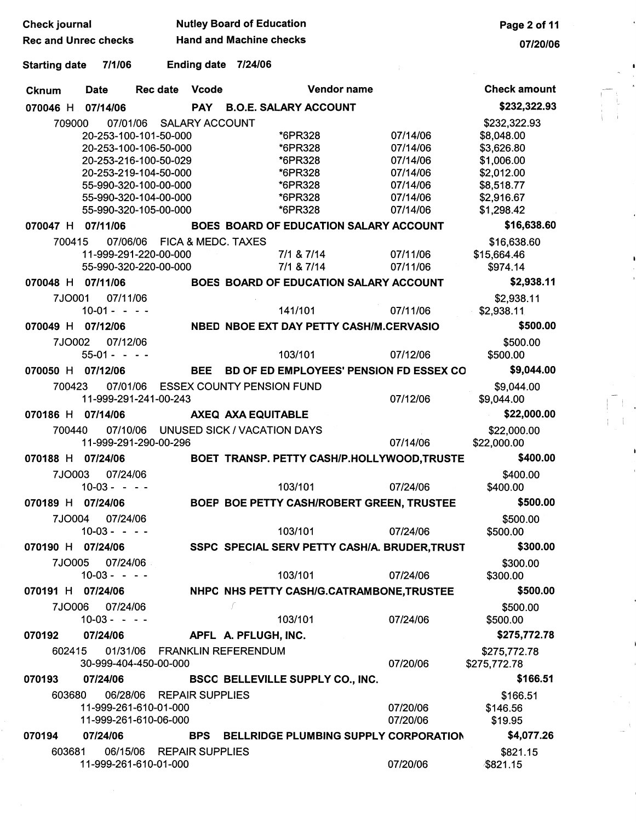| <b>Check journal</b>           |                                                                                                                                                                                                                  | <b>Nutley Board of Education</b>                                          | Page 2 of 11                                                                     |                                                                                                                |
|--------------------------------|------------------------------------------------------------------------------------------------------------------------------------------------------------------------------------------------------------------|---------------------------------------------------------------------------|----------------------------------------------------------------------------------|----------------------------------------------------------------------------------------------------------------|
| <b>Rec and Unrec checks</b>    |                                                                                                                                                                                                                  | <b>Hand and Machine checks</b>                                            |                                                                                  | 07/20/06                                                                                                       |
| <b>Starting date</b>           | 7/1/06<br><b>Ending date</b>                                                                                                                                                                                     | 7/24/06                                                                   |                                                                                  |                                                                                                                |
| <b>Date</b><br><b>Cknum</b>    | <b>Vcode</b><br>Rec date                                                                                                                                                                                         | <b>Vendor name</b>                                                        |                                                                                  | <b>Check amount</b>                                                                                            |
| 07/14/06<br>070046 H           | <b>PAY</b>                                                                                                                                                                                                       | <b>B.O.E. SALARY ACCOUNT</b>                                              |                                                                                  | \$232,322.93                                                                                                   |
| 709000                         | 07/01/06<br><b>SALARY ACCOUNT</b><br>20-253-100-101-50-000<br>20-253-100-106-50-000<br>20-253-216-100-50-029<br>20-253-219-104-50-000<br>55-990-320-100-00-000<br>55-990-320-104-00-000<br>55-990-320-105-00-000 | *6PR328<br>*6PR328<br>*6PR328<br>*6PR328<br>*6PR328<br>*6PR328<br>*6PR328 | 07/14/06<br>07/14/06<br>07/14/06<br>07/14/06<br>07/14/06<br>07/14/06<br>07/14/06 | \$232,322.93<br>\$8,048.00<br>\$3,626.80<br>\$1,006.00<br>\$2,012.00<br>\$8,518.77<br>\$2,916.67<br>\$1,298.42 |
| 07/11/06<br>070047 H           |                                                                                                                                                                                                                  | BOES BOARD OF EDUCATION SALARY ACCOUNT                                    |                                                                                  | \$16,638.60                                                                                                    |
| 700415<br>070048 H<br>07/11/06 | 07/06/06<br>FICA & MEDC. TAXES<br>11-999-291-220-00-000<br>55-990-320-220-00-000                                                                                                                                 | 7/1 & 7/14<br>7/1 & 7/14<br>BOES BOARD OF EDUCATION SALARY ACCOUNT        | 07/11/06<br>07/11/06                                                             | \$16,638.60<br>\$15,664.46<br>\$974.14<br>\$2,938.11                                                           |
| 7JO001                         | 07/11/06                                                                                                                                                                                                         |                                                                           |                                                                                  | \$2,938.11                                                                                                     |
| $10-01 - -$                    | $\sim$ $\sim$                                                                                                                                                                                                    | 141/101                                                                   | 07/11/06                                                                         | \$2,938.11                                                                                                     |
| 07/12/06<br>070049 H           |                                                                                                                                                                                                                  | NBED NBOE EXT DAY PETTY CASH/M.CERVASIO                                   |                                                                                  | \$500.00                                                                                                       |
| 7JO002<br>$55-01 - - -$        | 07/12/06                                                                                                                                                                                                         | 103/101                                                                   | 07/12/06                                                                         | \$500.00<br>\$500.00                                                                                           |
| 070050 H<br>07/12/06           | <b>BEE</b>                                                                                                                                                                                                       | BD OF ED EMPLOYEES' PENSION FD ESSEX CO                                   |                                                                                  | \$9,044.00                                                                                                     |
| 700423                         | 07/01/06<br>11-999-291-241-00-243                                                                                                                                                                                | <b>ESSEX COUNTY PENSION FUND</b>                                          | 07/12/06                                                                         | \$9,044.00<br>\$9,044.00                                                                                       |
| 070186 H<br>07/14/06           |                                                                                                                                                                                                                  | AXEQ AXA EQUITABLE                                                        |                                                                                  | \$22,000.00                                                                                                    |
| 700440                         | 11-999-291-290-00-296                                                                                                                                                                                            | 07/10/06 UNUSED SICK / VACATION DAYS                                      | 07/14/06                                                                         | \$22,000.00<br>\$22,000.00                                                                                     |
| 070188 H<br>07/24/06           |                                                                                                                                                                                                                  | BOET TRANSP. PETTY CASH/P.HOLLYWOOD,TRUSTE                                |                                                                                  | \$400.00                                                                                                       |
| 7JO003<br>10-03 - - - -        | 07/24/06                                                                                                                                                                                                         | 103/101                                                                   | 07/24/06                                                                         | \$400.00<br>\$400.00                                                                                           |
| 070189 H 07/24/06              |                                                                                                                                                                                                                  | BOEP BOE PETTY CASH/ROBERT GREEN, TRUSTEE                                 |                                                                                  | \$500.00                                                                                                       |
| 7JO004<br>$10-03 - - -$        | 07/24/06                                                                                                                                                                                                         | 103/101                                                                   | 07/24/06                                                                         | \$500.00<br>\$500.00                                                                                           |
| 070190 H 07/24/06              |                                                                                                                                                                                                                  | SSPC SPECIAL SERV PETTY CASH/A. BRUDER, TRUST                             |                                                                                  | \$300.00                                                                                                       |
| 7JO005<br>$10-03 - - -$        | 07/24/06                                                                                                                                                                                                         | 103/101                                                                   | 07/24/06                                                                         | \$300.00<br>\$300.00                                                                                           |
| 070191 H 07/24/06              |                                                                                                                                                                                                                  | NHPC NHS PETTY CASH/G.CATRAMBONE, TRUSTEE                                 |                                                                                  | \$500.00                                                                                                       |
| 7JO006<br>$10-03 - - -$        | 07/24/06                                                                                                                                                                                                         | F<br>103/101                                                              | 07/24/06                                                                         | \$500.00<br>\$500.00                                                                                           |
| 07/24/06<br>070192             |                                                                                                                                                                                                                  | APFL A. PFLUGH, INC.                                                      |                                                                                  | \$275,772.78                                                                                                   |
| 602415                         | 01/31/06 FRANKLIN REFERENDUM<br>30-999-404-450-00-000                                                                                                                                                            |                                                                           | 07/20/06                                                                         | \$275,772.78<br>\$275,772.78                                                                                   |
| 07/24/06<br>070193             |                                                                                                                                                                                                                  | BSCC BELLEVILLE SUPPLY CO., INC.                                          |                                                                                  | \$166.51                                                                                                       |
| 603680                         | 06/28/06 REPAIR SUPPLIES<br>11-999-261-610-01-000<br>11-999-261-610-06-000                                                                                                                                       |                                                                           | 07/20/06<br>07/20/06                                                             | \$166.51<br>\$146.56<br>\$19.95                                                                                |
| 07/24/06<br>070194             | <b>BPS</b>                                                                                                                                                                                                       | <b>BELLRIDGE PLUMBING SUPPLY CORPORATION</b>                              |                                                                                  | \$4,077.26                                                                                                     |
| 603681                         | 06/15/06 REPAIR SUPPLIES<br>11-999-261-610-01-000                                                                                                                                                                |                                                                           | 07/20/06                                                                         | \$821.15<br>\$821.15                                                                                           |

 $\begin{bmatrix} 1 & 1 \\ 1 & 1 \\ 1 & 1 \end{bmatrix}$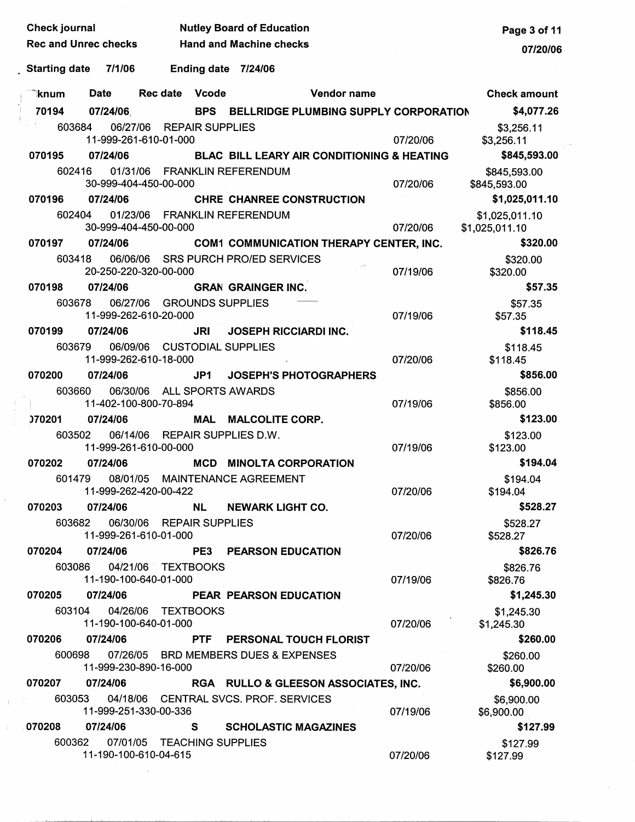| <b>Check journal</b>                                   |               |          |                                                      |                                | <b>Nutley Board of Education</b>               |                              | Page 3 of 11 |                                  |
|--------------------------------------------------------|---------------|----------|------------------------------------------------------|--------------------------------|------------------------------------------------|------------------------------|--------------|----------------------------------|
| <b>Rec and Unrec checks</b><br>7/1/06<br>Starting date |               |          |                                                      | <b>Hand and Machine checks</b> |                                                | 07/20/06                     |              |                                  |
|                                                        |               |          | Ending date 7/24/06                                  |                                |                                                |                              |              |                                  |
|                                                        | knum          | Date     | Rec date Vcode                                       |                                |                                                | <b>Example 2 Vendor name</b> |              | <b>Check amount</b>              |
|                                                        | 70194         | 07/24/06 |                                                      |                                | BPS BELLRIDGE PLUMBING SUPPLY CORPORATION      |                              |              | \$4,077.26                       |
|                                                        | 603684        |          | 06/27/06 REPAIR SUPPLIES<br>11-999-261-610-01-000    |                                |                                                |                              | 07/20/06     | \$3,256.11<br>\$3,256.11         |
|                                                        | 070195        | 07/24/06 |                                                      |                                | BLAC BILL LEARY AIR CONDITIONING & HEATING     |                              |              | \$845,593.00                     |
|                                                        | 602416        |          | 30-999-404-450-00-000                                |                                | 01/31/06 FRANKLIN REFERENDUM                   |                              | 07/20/06     | \$845,593.00<br>\$845,593.00     |
|                                                        | 070196        | 07/24/06 |                                                      |                                | <b>CHRE CHANREE CONSTRUCTION</b>               |                              |              | \$1,025,011.10                   |
|                                                        | 602404        |          | 30-999-404-450-00-000                                |                                | 01/23/06 FRANKLIN REFERENDUM                   |                              | 07/20/06     | \$1,025,011.10<br>\$1,025,011.10 |
|                                                        | 070197        | 07/24/06 |                                                      |                                | <b>COM1 COMMUNICATION THERAPY CENTER, INC.</b> |                              |              | \$320.00                         |
|                                                        | 603418        |          | 20-250-220-320-00-000                                |                                | 06/06/06 SRS PURCH PRO/ED SERVICES             |                              | 07/19/06     | \$320.00<br>\$320.00             |
|                                                        | 070198        | 07/24/06 |                                                      |                                | <b>GRAN GRAINGER INC.</b>                      |                              |              | \$57.35                          |
|                                                        | 603678        |          | 06/27/06 GROUNDS SUPPLIES<br>11-999-262-610-20-000   |                                |                                                |                              | 07/19/06     | \$57.35<br>\$57.35               |
|                                                        | 070199        | 07/24/06 |                                                      | <b>JRI</b>                     | <b>JOSEPH RICCIARDI INC.</b>                   |                              |              | \$118.45                         |
|                                                        | 603679        |          | 06/09/06 CUSTODIAL SUPPLIES<br>11-999-262-610-18-000 |                                |                                                |                              | 07/20/06     | \$118.45<br>\$118.45             |
|                                                        | 070200        | 07/24/06 |                                                      | JP1                            | <b>JOSEPH'S PHOTOGRAPHERS</b>                  |                              |              | \$856.00                         |
|                                                        | 603660        |          | 06/30/06 ALL SPORTS AWARDS<br>11-402-100-800-70-894  |                                |                                                |                              | 07/19/06     | \$856.00<br>\$856.00             |
|                                                        | <b>J70201</b> | 07/24/06 |                                                      |                                | MAL MALCOLITE CORP.                            |                              |              | \$123.00                         |
|                                                        | 603502        | 06/14/06 | 11-999-261-610-00-000                                |                                | REPAIR SUPPLIES D.W.                           |                              | 07/19/06     | \$123.00<br>\$123.00             |
|                                                        | 070202        | 07/24/06 |                                                      |                                | <b>MCD MINOLTA CORPORATION</b>                 |                              |              | \$194.04                         |
|                                                        | 601479        |          | 11-999-262-420-00-422                                |                                | 08/01/05 MAINTENANCE AGREEMENT                 |                              | 07/20/06     | \$194.04<br>\$194.04             |
|                                                        | 070203        |          | 07/24/06                                             |                                | NL NEWARK LIGHT CO.                            |                              |              | \$528.27                         |
|                                                        | 603682        |          | 06/30/06 REPAIR SUPPLIES<br>11-999-261-610-01-000    |                                |                                                |                              | 07/20/06     | \$528.27<br>\$528.27             |
|                                                        | 070204        | 07/24/06 |                                                      |                                | <b>PE3 PEARSON EDUCATION</b>                   |                              |              | \$826.76                         |
|                                                        | 603086        |          | 04/21/06 TEXTBOOKS<br>11-190-100-640-01-000          |                                |                                                |                              | 07/19/06     | \$826.76<br>\$826.76             |
|                                                        | 070205        | 07/24/06 |                                                      |                                | <b>PEAR PEARSON EDUCATION</b>                  |                              |              | \$1,245.30                       |
|                                                        | 603104        |          | 04/26/06 TEXTBOOKS<br>11-190-100-640-01-000          |                                |                                                |                              | 07/20/06     | \$1,245.30<br>\$1,245.30         |
|                                                        | 070206        | 07/24/06 |                                                      |                                | PTF PERSONAL TOUCH FLORIST                     |                              |              | \$260.00                         |
|                                                        | 600698        |          | 11-999-230-890-16-000                                |                                | 07/26/05 BRD MEMBERS DUES & EXPENSES           |                              | 07/20/06     | \$260.00<br>\$260.00             |
|                                                        | 070207        | 07/24/06 |                                                      |                                | RGA RULLO & GLEESON ASSOCIATES, INC.           |                              |              | \$6,900.00                       |
|                                                        | 603053        |          | 11-999-251-330-00-336                                |                                | 04/18/06 CENTRAL SVCS. PROF. SERVICES          |                              | 07/19/06     | \$6,900.00<br>\$6,900.00         |
|                                                        | 070208        | 07/24/06 |                                                      | S.                             | <b>SCHOLASTIC MAGAZINES</b>                    |                              |              | \$127.99                         |
|                                                        | 600362        |          | 07/01/05 TEACHING SUPPLIES<br>11-190-100-610-04-615  |                                |                                                |                              | 07/20/06     | \$127.99<br>\$127.99             |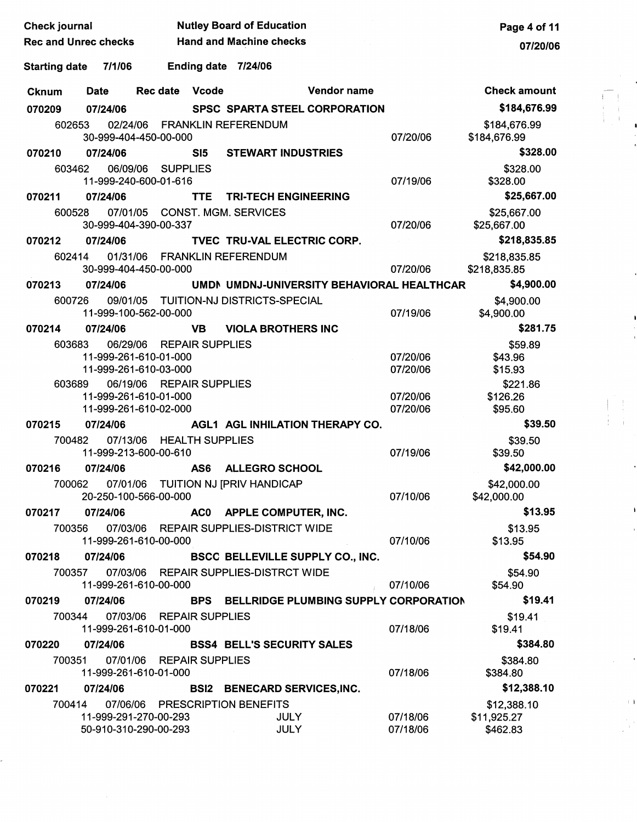| <b>Check journal</b>        |             | <b>Nutley Board of Education</b>                                           | Page 4 of 11 |                                                              |                                            |                      |                                        |
|-----------------------------|-------------|----------------------------------------------------------------------------|--------------|--------------------------------------------------------------|--------------------------------------------|----------------------|----------------------------------------|
| <b>Rec and Unrec checks</b> |             |                                                                            |              | <b>Hand and Machine checks</b>                               |                                            |                      | 07/20/06                               |
| <b>Starting date</b>        | 7/1/06      |                                                                            |              | Ending date 7/24/06                                          |                                            |                      |                                        |
| <b>Cknum</b>                | <b>Date</b> | Rec date Vcode                                                             |              |                                                              | Vendor name                                |                      | <b>Check amount</b>                    |
| 070209                      | 07/24/06    |                                                                            |              | <b>SPSC SPARTA STEEL CORPORATION</b>                         |                                            |                      | \$184,676.99                           |
| 602653                      |             | 30-999-404-450-00-000                                                      |              | 02/24/06 FRANKLIN REFERENDUM                                 |                                            | 07/20/06             | \$184,676.99<br>\$184,676.99           |
| 070210                      | 07/24/06    |                                                                            | SI5          | <b>STEWART INDUSTRIES</b>                                    |                                            |                      | \$328.00                               |
| 603462                      |             | 06/09/06 SUPPLIES<br>11-999-240-600-01-616                                 |              |                                                              |                                            | 07/19/06             | \$328.00<br>\$328.00                   |
| 070211                      | 07/24/06    |                                                                            | TTE.         | <b>TRI-TECH ENGINEERING</b>                                  |                                            |                      | \$25,667.00                            |
| 600528                      |             | 30-999-404-390-00-337                                                      |              | 07/01/05 CONST. MGM. SERVICES                                |                                            | 07/20/06             | \$25,667.00<br>\$25,667.00             |
| 070212                      | 07/24/06    |                                                                            |              | TVEC TRU-VAL ELECTRIC CORP.                                  |                                            |                      | \$218,835.85                           |
| 602414                      | 01/31/06    | 30-999-404-450-00-000                                                      |              | <b>FRANKLIN REFERENDUM</b>                                   |                                            | 07/20/06             | \$218,835.85<br>\$218,835.85           |
| 070213                      | 07/24/06    |                                                                            |              |                                                              | UMDN UMDNJ-UNIVERSITY BEHAVIORAL HEALTHCAR |                      | \$4,900.00                             |
| 600726                      |             | 11-999-100-562-00-000                                                      |              | 09/01/05 TUITION-NJ DISTRICTS-SPECIAL                        |                                            | 07/19/06             | \$4,900.00<br>\$4,900.00               |
| 070214                      | 07/24/06    |                                                                            | <b>VB</b>    | <b>VIOLA BROTHERS INC</b>                                    |                                            |                      | \$281.75                               |
| 603683                      | 06/29/06    | <b>REPAIR SUPPLIES</b>                                                     |              |                                                              |                                            |                      | \$59.89                                |
|                             |             | 11-999-261-610-01-000<br>11-999-261-610-03-000                             |              |                                                              |                                            | 07/20/06<br>07/20/06 | \$43.96<br>\$15.93                     |
| 603689                      |             | 06/19/06 REPAIR SUPPLIES<br>11-999-261-610-01-000<br>11-999-261-610-02-000 |              |                                                              |                                            | 07/20/06<br>07/20/06 | \$221.86<br>\$126.26<br>\$95.60        |
| 070215                      | 07/24/06    |                                                                            |              | AGL1 AGL INHILATION THERAPY CO.                              |                                            |                      | \$39.50                                |
| 700482                      |             | 07/13/06 HEALTH SUPPLIES<br>11-999-213-600-00-610                          |              |                                                              |                                            | 07/19/06             | \$39.50<br>\$39.50                     |
| 070216                      | 07/24/06    |                                                                            | AS6          | <b>ALLEGRO SCHOOL</b>                                        |                                            |                      | \$42,000.00                            |
|                             |             | 20-250-100-566-00-000                                                      |              | 700062 07/01/06 TUITION NJ [PRIV HANDICAP                    |                                            | 07/10/06             | \$42,000.00<br>\$42,000.00             |
| 070217                      | 07/24/06    |                                                                            |              | AC0 APPLE COMPUTER, INC.                                     |                                            |                      | \$13.95                                |
| 700356                      |             | 11-999-261-610-00-000                                                      |              | 07/03/06 REPAIR SUPPLIES-DISTRICT WIDE                       |                                            | 07/10/06             | \$13.95<br>\$13.95                     |
| 070218                      | 07/24/06    |                                                                            |              | <b>BSCC BELLEVILLE SUPPLY CO., INC.</b>                      |                                            |                      | \$54.90                                |
| 700357                      |             | 11-999-261-610-00-000                                                      |              | 07/03/06 REPAIR SUPPLIES-DISTRCT WIDE                        |                                            | 07/10/06             | \$54.90<br>\$54.90                     |
| 070219                      | 07/24/06    |                                                                            | <b>BPS</b>   |                                                              | BELLRIDGE PLUMBING SUPPLY CORPORATION      |                      | \$19.41                                |
| 700344                      |             | 07/03/06 REPAIR SUPPLIES<br>11-999-261-610-01-000                          |              |                                                              |                                            | 07/18/06             | \$19.41<br>\$19.41                     |
| 070220                      | 07/24/06    |                                                                            |              | <b>BSS4 BELL'S SECURITY SALES</b>                            |                                            |                      | \$384.80                               |
| 700351                      |             | 07/01/06 REPAIR SUPPLIES<br>11-999-261-610-01-000                          |              |                                                              |                                            | 07/18/06             | \$384.80<br>\$384.80                   |
| 070221                      | 07/24/06    |                                                                            |              | <b>BSI2 BENECARD SERVICES, INC.</b>                          |                                            |                      | \$12,388.10                            |
| 700414                      |             | 11-999-291-270-00-293<br>50-910-310-290-00-293                             |              | 07/06/06 PRESCRIPTION BENEFITS<br><b>JULY</b><br><b>JULY</b> |                                            | 07/18/06<br>07/18/06 | \$12,388.10<br>\$11,925.27<br>\$462.83 |

 $\begin{array}{c} \begin{array}{c} \alpha \\ \vdots \\ \alpha \end{array} \\ \begin{array}{c} \alpha \\ \vdots \\ \alpha \end{array} \\ \begin{array}{c} \alpha \\ \vdots \\ \alpha \end{array} \\ \begin{array}{c} \alpha \\ \vdots \\ \alpha \end{array} \end{array}$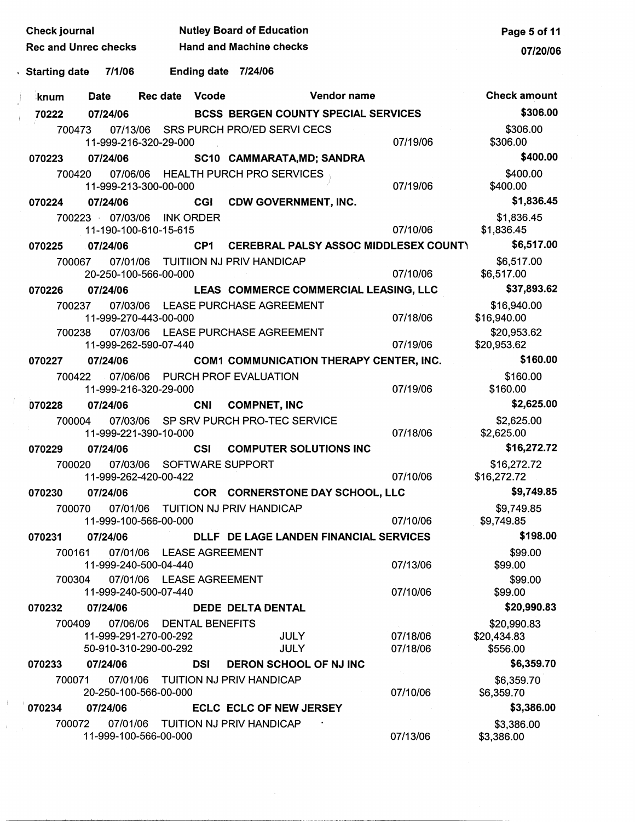| <b>Check journal</b>                                                 | <b>Nutley Board of Education</b>      |                                                    | Page 5 of 11                           |
|----------------------------------------------------------------------|---------------------------------------|----------------------------------------------------|----------------------------------------|
| <b>Rec and Unrec checks</b>                                          | <b>Hand and Machine checks</b>        |                                                    | 07/20/06                               |
| 7/1/06<br>。Starting date                                             | Ending date 7/24/06                   |                                                    |                                        |
| Date<br>knum                                                         | Vcode<br><b>Rec date</b>              | Vendor name                                        | <b>Check amount</b>                    |
| 70222<br>07/24/06                                                    |                                       | <b>BCSS BERGEN COUNTY SPECIAL SERVICES</b>         | \$306.00                               |
| 700473<br>11-999-216-320-29-000                                      | 07/13/06 SRS PURCH PRO/ED SERVI CECS  | 07/19/06                                           | \$306.00<br>\$306.00                   |
| 07/24/06<br>070223                                                   |                                       | SC10 CAMMARATA, MD; SANDRA                         | \$400.00                               |
| 700420<br>11-999-213-300-00-000                                      | 07/06/06 HEALTH PURCH PRO SERVICES    | 07/19/06                                           | \$400.00<br>\$400.00                   |
| 070224<br>07/24/06                                                   | <b>CGI</b>                            | <b>CDW GOVERNMENT, INC.</b>                        | \$1,836.45                             |
| 700223 07/03/06<br>11-190-100-610-15-615                             | <b>INK ORDER</b>                      | 07/10/06                                           | \$1,836.45<br>\$1,836.45               |
| 07/24/06<br>070225                                                   | CP1                                   | <b>CEREBRAL PALSY ASSOC MIDDLESEX COUNTY</b>       | \$6,517.00                             |
| 700067<br>07/01/06<br>20-250-100-566-00-000                          | TUITIION NJ PRIV HANDICAP             | 07/10/06                                           | \$6,517.00<br>\$6,517.00               |
| 07/24/06<br>070226                                                   |                                       | LEAS COMMERCE COMMERCIAL LEASING, LLC              | \$37,893.62                            |
| 07/03/06<br>700237<br>11-999-270-443-00-000                          | LEASE PURCHASE AGREEMENT              | 07/18/06                                           | \$16,940.00<br>\$16,940.00             |
| 07/03/06<br>700238<br>11-999-262-590-07-440                          | LEASE PURCHASE AGREEMENT              | 07/19/06                                           | \$20,953.62<br>\$20,953.62             |
| 07/24/06<br>070227                                                   |                                       | <b>COM1 COMMUNICATION THERAPY CENTER, INC.</b>     | \$160.00                               |
| 07/06/06<br>700422<br>11-999-216-320-29-000                          | PURCH PROF EVALUATION                 | 07/19/06                                           | \$160.00<br>\$160.00                   |
| 07/24/06<br>070228                                                   | <b>COMPNET, INC</b><br><b>CNI</b>     |                                                    | \$2,625.00                             |
| 700004<br>11-999-221-390-10-000                                      | 07/03/06 SP SRV PURCH PRO-TEC SERVICE | 07/18/06                                           | \$2,625.00<br>\$2,625.00               |
| 07/24/06<br>070229                                                   | <b>CSI</b>                            | <b>COMPUTER SOLUTIONS INC</b>                      | \$16,272.72                            |
| 700020<br>07/03/06<br>11-999-262-420-00-422                          | SOFTWARE SUPPORT                      | 07/10/06                                           | \$16,272.72<br>\$16,272.72             |
| 07/24/06<br>070230                                                   |                                       | COR CORNERSTONE DAY SCHOOL, LLC                    | \$9,749.85                             |
| 700070<br>11-999-100-566-00-000                                      | 07/01/06 TUITION NJ PRIV HANDICAP     | 07/10/06                                           | \$9,749.85<br>\$9,749.85               |
| 07/24/06<br>070231                                                   |                                       | DLLF DE LAGE LANDEN FINANCIAL SERVICES             | \$198.00                               |
| 700161<br>11-999-240-500-04-440                                      | 07/01/06 LEASE AGREEMENT              | 07/13/06                                           | \$99.00<br>\$99.00                     |
| 700304<br>11-999-240-500-07-440                                      | 07/01/06 LEASE AGREEMENT              | 07/10/06                                           | \$99.00<br>\$99.00                     |
| 070232<br>07/24/06                                                   | DEDE DELTA DENTAL                     |                                                    | \$20,990.83                            |
| 700409<br>07/06/06<br>11-999-291-270-00-292<br>50-910-310-290-00-292 | <b>DENTAL BENEFITS</b>                | 07/18/06<br><b>JULY</b><br><b>JULY</b><br>07/18/06 | \$20,990.83<br>\$20,434.83<br>\$556.00 |
| 07/24/06<br>070233                                                   | <b>DSI</b>                            | DERON SCHOOL OF NJ INC                             | \$6,359.70                             |
| 700071<br>20-250-100-566-00-000                                      | 07/01/06 TUITION NJ PRIV HANDICAP     | 07/10/06                                           | \$6,359.70<br>\$6,359.70               |
| 070234<br>07/24/06                                                   |                                       | <b>ECLC ECLC OF NEW JERSEY</b>                     | \$3,386.00                             |
| 700072<br>11-999-100-566-00-000                                      | 07/01/06 TUITION NJ PRIV HANDICAP     | 07/13/06                                           | \$3,386.00<br>\$3,386.00               |

 $\mathfrak{f}$ 

 $\pm$ 

 $\hat{\mathbf{r}}$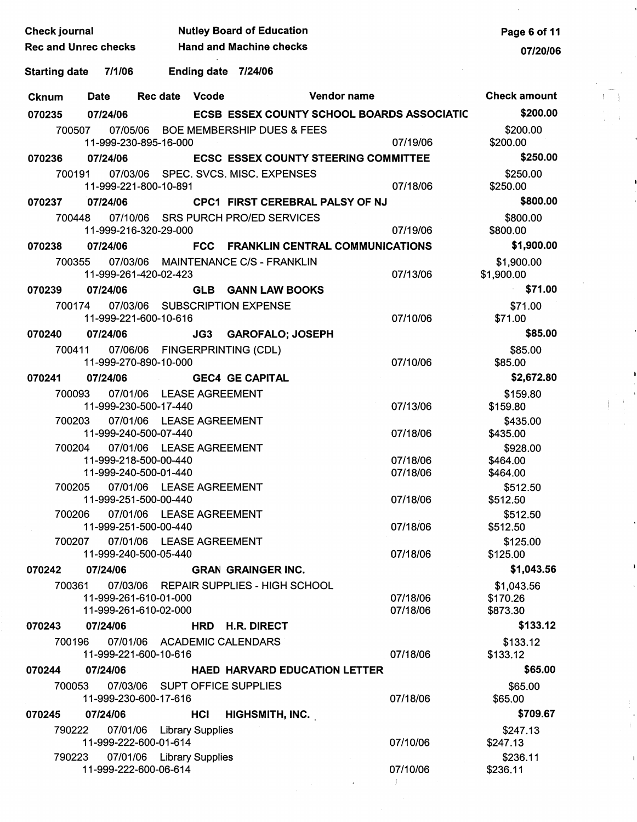| <b>Check journal</b>        |             |                                                    |                                | <b>Nutley Board of Education</b>                      |                                                   | Page 6 of 11           |       |
|-----------------------------|-------------|----------------------------------------------------|--------------------------------|-------------------------------------------------------|---------------------------------------------------|------------------------|-------|
| <b>Rec and Unrec checks</b> |             |                                                    | <b>Hand and Machine checks</b> |                                                       | 07/20/06                                          |                        |       |
| Starting date 7/1/06        |             |                                                    |                                | Ending date 7/24/06                                   |                                                   |                        |       |
| <b>Cknum</b>                | <b>Date</b> | Rec date Vcode                                     |                                | $\mathcal{L}_{\rm{max}}$ and $\mathcal{L}_{\rm{max}}$ | Vendor name                                       | <b>Check amount</b>    |       |
| 070235                      | 07/24/06    |                                                    |                                |                                                       | <b>ECSB ESSEX COUNTY SCHOOL BOARDS ASSOCIATIC</b> | \$200.00               |       |
| 700507                      |             |                                                    |                                | 07/05/06 BOE MEMBERSHIP DUES & FEES                   |                                                   | \$200.00               |       |
|                             |             | 11-999-230-895-16-000                              |                                |                                                       | 07/19/06                                          | \$200.00               |       |
| 070236                      | 07/24/06    |                                                    |                                | <b>ECSC ESSEX COUNTY STEERING COMMITTEE</b>           |                                                   | \$250.00               |       |
| 700191                      |             |                                                    |                                | 07/03/06 SPEC. SVCS. MISC. EXPENSES                   |                                                   | \$250.00               |       |
|                             |             | 11-999-221-800-10-891                              |                                |                                                       | 07/18/06                                          | \$250.00               |       |
| 070237                      | 07/24/06    |                                                    |                                | CPC1 FIRST CEREBRAL PALSY OF NJ                       |                                                   | \$800.00               |       |
| 700448                      |             |                                                    |                                | 07/10/06 SRS PURCH PRO/ED SERVICES                    |                                                   | \$800.00               |       |
|                             |             | 11-999-216-320-29-000                              |                                |                                                       | 07/19/06                                          | \$800.00               |       |
| 070238                      | 07/24/06    |                                                    |                                | FCC FRANKLIN CENTRAL COMMUNICATIONS                   |                                                   | \$1,900.00             |       |
| 700355                      |             |                                                    |                                | 07/03/06 MAINTENANCE C/S - FRANKLIN                   |                                                   | \$1,900.00             |       |
|                             |             | 11-999-261-420-02-423                              |                                |                                                       | 07/13/06                                          | \$1,900.00             |       |
| 070239                      | 07/24/06    |                                                    |                                | <b>GLB GANN LAW BOOKS</b>                             |                                                   | \$71.00                |       |
| 700174                      |             |                                                    |                                | 07/03/06 SUBSCRIPTION EXPENSE                         |                                                   | \$71.00                |       |
|                             |             | 11-999-221-600-10-616                              |                                |                                                       | 07/10/06                                          | \$71.00                |       |
| 070240                      | 07/24/06    |                                                    |                                | JG3 GAROFALO; JOSEPH                                  |                                                   | \$85.00                |       |
| 700411                      |             | 11-999-270-890-10-000                              |                                | 07/06/06 FINGERPRINTING (CDL)                         | 07/10/06                                          | \$85.00<br>\$85.00     |       |
| 070241                      | 07/24/06    |                                                    |                                | <b>GEC4 GE CAPITAL</b>                                |                                                   | \$2,672.80             |       |
| 700093                      |             | 07/01/06 LEASE AGREEMENT                           |                                |                                                       |                                                   | \$159.80               |       |
|                             |             | 11-999-230-500-17-440                              |                                |                                                       | 07/13/06                                          | \$159.80               |       |
| 700203                      |             | 07/01/06 LEASE AGREEMENT                           |                                |                                                       |                                                   | \$435.00               |       |
|                             |             | 11-999-240-500-07-440                              |                                |                                                       | 07/18/06                                          | \$435.00               |       |
| 700204                      |             | 07/01/06 LEASE AGREEMENT                           |                                |                                                       |                                                   | \$928.00               |       |
|                             |             | 11-999-218-500-00-440                              |                                |                                                       | 07/18/06                                          | \$464.00               |       |
| 700205                      |             | 11-999-240-500-01-440<br>07/01/06 LEASE AGREEMENT  |                                |                                                       | 07/18/06                                          | \$464.00<br>\$512.50   |       |
|                             |             | 11-999-251-500-00-440                              |                                |                                                       | 07/18/06                                          | \$512.50               |       |
| 700206                      |             | 07/01/06 LEASE AGREEMENT                           |                                |                                                       |                                                   | \$512.50               |       |
|                             |             | 11-999-251-500-00-440                              |                                |                                                       | 07/18/06                                          | \$512.50               |       |
| 700207                      |             | 07/01/06 LEASE AGREEMENT                           |                                |                                                       |                                                   | \$125.00               |       |
|                             |             | 11-999-240-500-05-440                              |                                |                                                       | 07/18/06                                          | \$125.00               |       |
| 070242                      | 07/24/06    |                                                    |                                | <b>GRAN GRAINGER INC.</b>                             |                                                   | \$1,043.56             |       |
|                             |             | 11-999-261-610-01-000                              |                                | 700361 07/03/06 REPAIR SUPPLIES - HIGH SCHOOL         | 07/18/06                                          | \$1,043.56<br>\$170.26 |       |
|                             |             | 11-999-261-610-02-000                              |                                |                                                       | 07/18/06                                          | \$873.30               |       |
| 070243                      | 07/24/06    |                                                    |                                | HRD H.R. DIRECT                                       |                                                   | \$133.12               |       |
| 700196                      |             |                                                    |                                | 07/01/06 ACADEMIC CALENDARS                           |                                                   | \$133.12               |       |
|                             |             | 11-999-221-600-10-616                              |                                |                                                       | 07/18/06                                          | \$133.12               |       |
| 070244                      | 07/24/06    |                                                    |                                | <b>HAED HARVARD EDUCATION LETTER</b>                  |                                                   | \$65.00                |       |
| 700053                      |             |                                                    |                                | 07/03/06 SUPT OFFICE SUPPLIES                         |                                                   | \$65.00                |       |
|                             |             | 11-999-230-600-17-616                              |                                |                                                       | 07/18/06                                          | \$65.00                |       |
| 070245                      | 07/24/06    |                                                    | HCI                            | <b>HIGHSMITH, INC.</b>                                |                                                   | \$709.67               |       |
| 790222                      |             | 07/01/06 Library Supplies                          |                                |                                                       |                                                   | \$247.13               | $\pm$ |
|                             |             | 11-999-222-600-01-614                              |                                |                                                       | 07/10/06                                          | \$247.13               |       |
| 790223                      |             | 07/01/06 Library Supplies<br>11-999-222-600-06-614 |                                |                                                       | 07/10/06                                          | \$236.11<br>\$236.11   |       |
|                             |             |                                                    |                                |                                                       |                                                   |                        |       |
|                             |             |                                                    |                                |                                                       |                                                   |                        |       |
|                             |             |                                                    |                                |                                                       |                                                   |                        |       |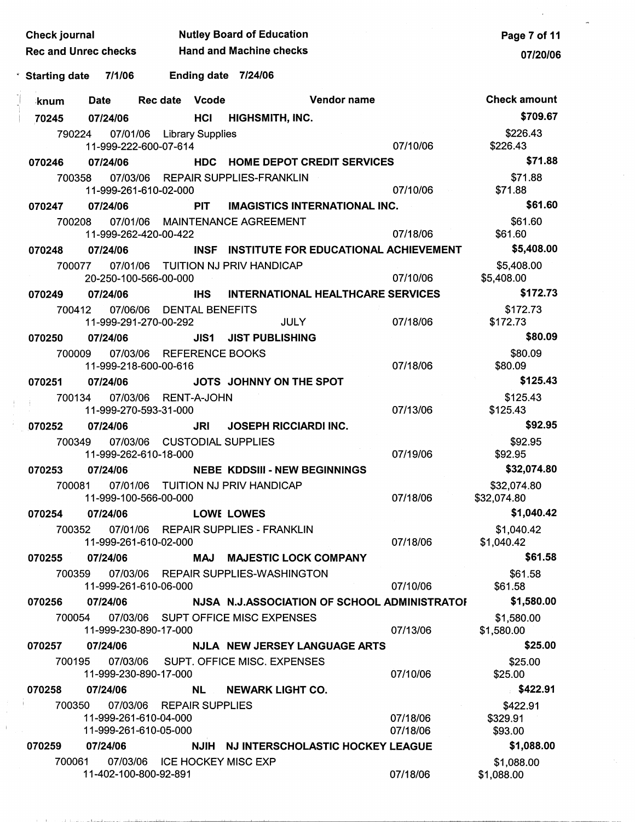| Check journal               |             |                                                       |                        | <b>Nutley Board of Education</b>             |                      | Page 7 of 11                    |
|-----------------------------|-------------|-------------------------------------------------------|------------------------|----------------------------------------------|----------------------|---------------------------------|
| <b>Rec and Unrec checks</b> |             |                                                       |                        | <b>Hand and Machine checks</b>               |                      | 07/20/06                        |
| ゜Starting date              | 7/1/06      |                                                       |                        | Ending date 7/24/06                          |                      |                                 |
| ∶knum                       | <b>Date</b> | <b>Rec date</b>                                       | Vcode                  | <b>Vendor name</b>                           |                      | <b>Check amount</b>             |
| 70245                       | 07/24/06    |                                                       | HCI                    | <b>HIGHSMITH, INC.</b>                       |                      | \$709.67                        |
| 790224                      |             | 07/01/06 Library Supplies<br>11-999-222-600-07-614    |                        |                                              | 07/10/06             | \$226.43<br>\$226.43            |
| 070246                      | 07/24/06    |                                                       |                        | <b>HDC HOME DEPOT CREDIT SERVICES</b>        |                      | \$71.88                         |
| 700358                      |             | 11-999-261-610-02-000                                 |                        | 07/03/06 REPAIR SUPPLIES-FRANKLIN            | 07/10/06             | \$71.88<br>\$71.88              |
| 070247                      | 07/24/06    |                                                       | <b>PIT</b>             | <b>IMAGISTICS INTERNATIONAL INC.</b>         |                      | \$61.60                         |
| 700208                      |             | 11-999-262-420-00-422                                 |                        | 07/01/06 MAINTENANCE AGREEMENT               | 07/18/06             | \$61.60<br>\$61.60              |
| 070248                      | 07/24/06    |                                                       |                        | INSF INSTITUTE FOR EDUCATIONAL ACHIEVEMENT   |                      | \$5,408.00                      |
| 700077                      |             | 20-250-100-566-00-000                                 |                        | 07/01/06 TUITION NJ PRIV HANDICAP            | 07/10/06             | \$5,408.00<br>\$5,408.00        |
| 070249                      | 07/24/06    |                                                       | <b>IHS</b>             | <b>INTERNATIONAL HEALTHCARE SERVICES</b>     |                      | \$172.73                        |
| 700412                      | 07/06/06    | 11-999-291-270-00-292                                 |                        | <b>DENTAL BENEFITS</b><br><b>JULY</b>        | 07/18/06             | \$172.73<br>\$172.73            |
| 070250                      | 07/24/06    |                                                       | JIS1                   | <b>JIST PUBLISHING</b>                       |                      | \$80.09                         |
| 700009                      |             | 07/03/06 REFERENCE BOOKS<br>11-999-218-600-00-616     |                        |                                              | 07/18/06             | \$80.09<br>\$80.09              |
| 070251                      | 07/24/06    |                                                       |                        | JOTS JOHNNY ON THE SPOT                      |                      | \$125.43                        |
| 700134                      |             | 07/03/06 RENT-A-JOHN<br>11-999-270-593-31-000         |                        |                                              | 07/13/06             | \$125.43<br>\$125.43            |
| 070252                      | 07/24/06    |                                                       | JRI                    | <b>JOSEPH RICCIARDI INC.</b>                 |                      | \$92.95                         |
| 700349                      |             | 07/03/06 CUSTODIAL SUPPLIES<br>11-999-262-610-18-000  |                        |                                              | 07/19/06             | \$92.95<br>\$92.95              |
| 070253                      | 07/24/06    |                                                       |                        | <b>NEBE KDDSIII - NEW BEGINNINGS</b>         |                      | \$32,074.80                     |
| 700081                      |             | 11-999-100-566-00-000                                 |                        | 07/01/06 TUITION NJ PRIV HANDICAP            | 07/18/06             | \$32,074.80<br>\$32,074.80      |
| 070254                      | 07/24/06    |                                                       |                        | <b>LOWE LOWES</b>                            |                      | \$1,040.42                      |
| 700352                      | 07/01/06    | 11-999-261-610-02-000                                 |                        | <b>REPAIR SUPPLIES - FRANKLIN</b>            | 07/18/06             | \$1,040.42<br>\$1,040.42        |
| 070255                      | 07/24/06    |                                                       |                        | MAJ MAJESTIC LOCK COMPANY                    |                      | \$61.58                         |
| 700359                      |             | 07/03/06<br>11-999-261-610-06-000                     |                        | <b>REPAIR SUPPLIES-WASHINGTON</b>            | 07/10/06             | \$61.58<br>\$61.58              |
| 070256                      | 07/24/06    |                                                       |                        | NJSA N.J.ASSOCIATION OF SCHOOL ADMINISTRATOR |                      | \$1,580.00                      |
| 700054                      |             | 07/03/06<br>11-999-230-890-17-000                     |                        | SUPT OFFICE MISC EXPENSES                    | 07/13/06             | \$1,580.00<br>\$1,580.00        |
| 070257                      | 07/24/06    |                                                       |                        | NJLA NEW JERSEY LANGUAGE ARTS                |                      | \$25.00                         |
| 700195                      |             | 07/03/06<br>11-999-230-890-17-000                     |                        | SUPT. OFFICE MISC. EXPENSES                  | 07/10/06             | \$25.00<br>\$25.00              |
| 070258                      | 07/24/06    |                                                       | <b>NL</b>              | <b>NEWARK LIGHT CO.</b>                      |                      | \$422.91                        |
| 700350                      | 07/03/06    | 11-999-261-610-04-000<br>11-999-261-610-05-000        | <b>REPAIR SUPPLIES</b> |                                              | 07/18/06<br>07/18/06 | \$422.91<br>\$329.91<br>\$93.00 |
| 070259                      | 07/24/06    |                                                       |                        | NJIH NJ INTERSCHOLASTIC HOCKEY LEAGUE        |                      | \$1,088.00                      |
| 700061                      |             | 07/03/06 ICE HOCKEY MISC EXP<br>11-402-100-800-92-891 |                        |                                              | 07/18/06             | \$1,088.00<br>\$1,088.00        |

 $\begin{array}{c} 1 \\ 1 \\ 1 \\ 1 \end{array}$ 

 $\bar{1}$ 

 $\mathcal{L}_{\text{max}}$ 

 $\overline{\phantom{a}}$ 

 $\hat{\boldsymbol{\theta}}$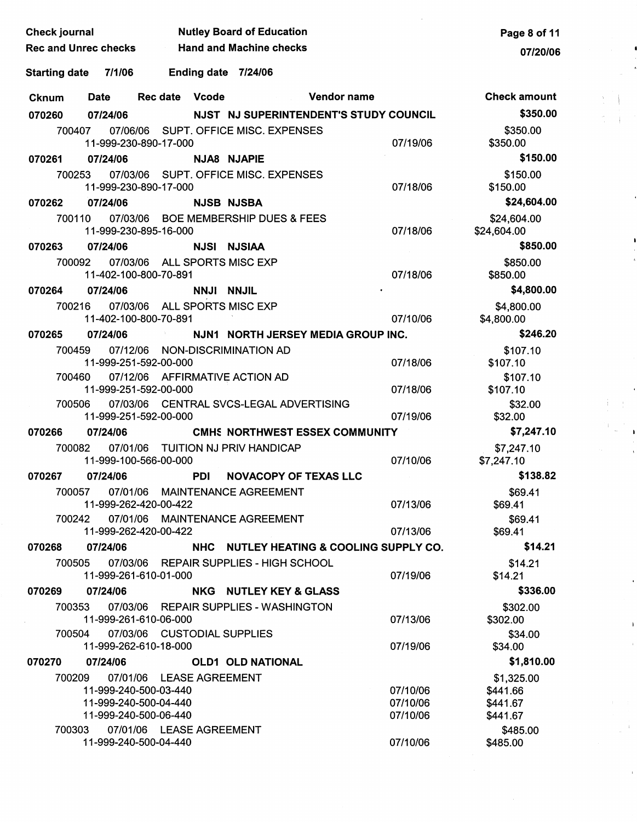| <b>Check journal</b>           |                                                            | <b>Nutley Board of Education</b>         |                      | Page 8 of 11               |
|--------------------------------|------------------------------------------------------------|------------------------------------------|----------------------|----------------------------|
| <b>Rec and Unrec checks</b>    |                                                            | <b>Example 3 Hand and Machine checks</b> |                      | 07/20/06                   |
| <b>Starting date</b><br>7/1/06 | <b>Ending date</b>                                         | 7/24/06                                  |                      |                            |
| Date<br><b>Cknum</b>           | Rec date Vcode                                             | Vendor name                              |                      | <b>Check amount</b>        |
| 07/24/06<br>070260             |                                                            | NJST NJ SUPERINTENDENT'S STUDY COUNCIL   |                      | \$350.00                   |
| 700407                         |                                                            | 07/06/06 SUPT, OFFICE MISC, EXPENSES     |                      | \$350.00                   |
|                                | 11-999-230-890-17-000                                      |                                          | 07/19/06             | \$350.00                   |
| 070261<br>07/24/06             |                                                            | NJA8 NJAPIE                              |                      | \$150.00                   |
| 700253                         | 11-999-230-890-17-000                                      | 07/03/06 SUPT. OFFICE MISC. EXPENSES     | 07/18/06             | \$150.00<br>\$150.00       |
| 07/24/06<br>070262             |                                                            | <b>NJSB NJSBA</b>                        |                      | \$24,604.00                |
| 700110                         | 11-999-230-895-16-000                                      | 07/03/06 BOE MEMBERSHIP DUES & FEES      | 07/18/06             | \$24,604.00<br>\$24,604.00 |
| 07/24/06<br>070263             |                                                            | <b>NJSI NJSIAA</b>                       |                      | \$850.00                   |
| 700092                         | 07/03/06 ALL SPORTS MISC EXP<br>11-402-100-800-70-891      |                                          | 07/18/06             | \$850.00<br>\$850.00       |
| 07/24/06<br>070264             |                                                            | NNJI NNJIL                               |                      | \$4,800.00                 |
| 700216                         | 07/03/06 ALL SPORTS MISC EXP<br>11-402-100-800-70-891      |                                          | 07/10/06             | \$4,800.00<br>\$4,800.00   |
| 07/24/06<br>070265             | and the con-                                               | NJN1 NORTH JERSEY MEDIA GROUP INC.       |                      | \$246.20                   |
| 700459                         | 07/12/06<br>NON-DISCRIMINATION AD<br>11-999-251-592-00-000 |                                          | 07/18/06             | \$107.10<br>\$107.10       |
| 700460                         | 07/12/06 AFFIRMATIVE ACTION AD                             |                                          |                      | \$107.10                   |
|                                | 11-999-251-592-00-000                                      |                                          | 07/18/06             | \$107.10                   |
| 700506                         | 11-999-251-592-00-000                                      | 07/03/06 CENTRAL SVCS-LEGAL ADVERTISING  | 07/19/06             | \$32.00<br>\$32.00         |
| 070266<br>07/24/06             |                                                            | <b>CMHS NORTHWEST ESSEX COMMUNITY</b>    |                      | \$7,247.10                 |
| 700082                         | 07/01/06 TUITION NJ PRIV HANDICAP                          |                                          |                      | \$7,247.10                 |
|                                | 11-999-100-566-00-000                                      |                                          | 07/10/06             | \$7,247.10                 |
| 070267<br>07/24/06             | <b>PDI</b>                                                 | <b>NOVACOPY OF TEXAS LLC</b>             |                      | \$138.82                   |
| 700057                         | 07/01/06 MAINTENANCE AGREEMENT<br>11-999-262-420-00-422    |                                          | 07/13/06             | \$69.41<br>\$69.41         |
| 700242                         | 07/01/06 MAINTENANCE AGREEMENT                             |                                          |                      | \$69.41                    |
|                                | 11-999-262-420-00-422                                      |                                          | 07/13/06             | \$69.41                    |
| 07/24/06<br>070268             |                                                            | NHC NUTLEY HEATING & COOLING SUPPLY CO.  |                      | \$14.21                    |
| 700505                         |                                                            | 07/03/06 REPAIR SUPPLIES - HIGH SCHOOL   |                      | \$14.21                    |
|                                | 11-999-261-610-01-000                                      |                                          | 07/19/06             | \$14.21                    |
| 07/24/06<br>070269             |                                                            | <b>NKG NUTLEY KEY &amp; GLASS</b>        |                      | \$336.00                   |
| 700353                         | 11-999-261-610-06-000                                      | 07/03/06 REPAIR SUPPLIES - WASHINGTON    | 07/13/06             | \$302.00<br>\$302.00       |
| 700504                         | 07/03/06 CUSTODIAL SUPPLIES<br>11-999-262-610-18-000       |                                          | 07/19/06             | \$34.00<br>\$34.00         |
| 070270<br>07/24/06             |                                                            | OLD1 OLD NATIONAL                        |                      | \$1,810.00                 |
| 700209                         | 07/01/06 LEASE AGREEMENT                                   |                                          |                      | \$1,325.00                 |
|                                | 11-999-240-500-03-440<br>11-999-240-500-04-440             |                                          | 07/10/06<br>07/10/06 | \$441.66<br>\$441.67       |
|                                | 11-999-240-500-06-440                                      |                                          | 07/10/06             | \$441.67                   |
| 700303                         | 07/01/06 LEASE AGREEMENT<br>11-999-240-500-04-440          |                                          | 07/10/06             | \$485.00<br>\$485.00       |

 $\begin{aligned} \frac{1}{2} & = 1 \\ \frac{1}{2} & = \frac{1}{2} \\ \frac{1}{2} & = \frac{1}{2} \\ \frac{1}{2} & = \frac{1}{2} \\ \frac{1}{2} & = \frac{1}{2} \\ \frac{1}{2} & = \frac{1}{2} \\ \frac{1}{2} & = \frac{1}{2} \\ \frac{1}{2} & = \frac{1}{2} \\ \frac{1}{2} & = \frac{1}{2} \\ \frac{1}{2} & = \frac{1}{2} \\ \frac{1}{2} & = \frac{1}{2} \\ \frac{1}{2} & = \frac{1}{2} \\ \frac{1}{2} & = \frac{1}{2}$ 

 $\frac{1}{\sqrt{2}}\left( \frac{1}{2}\right) ^{2}$ 

 $\overline{\phantom{a}}$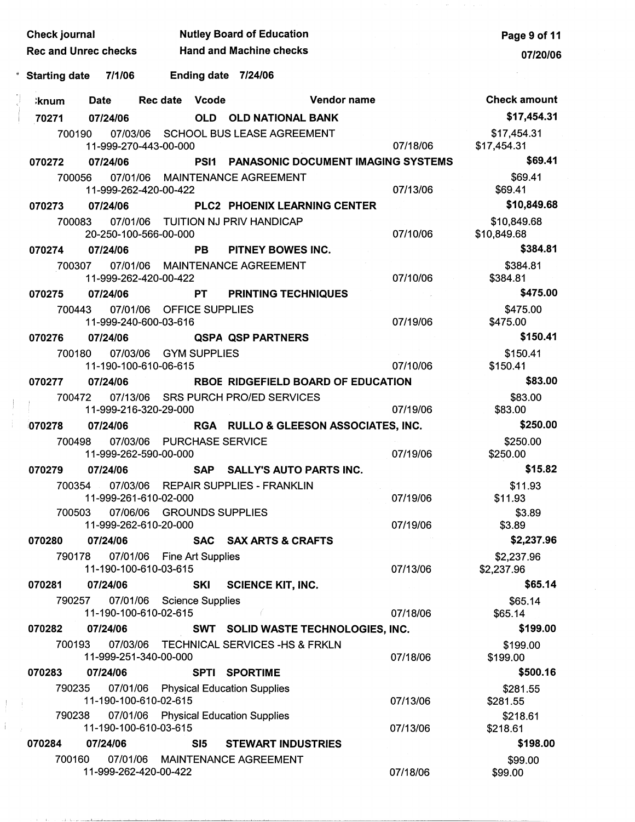| Check journal              |                             |                                                            |            | <b>Nutley Board of Education</b>        |                                         |          | Page 9 of 11               |
|----------------------------|-----------------------------|------------------------------------------------------------|------------|-----------------------------------------|-----------------------------------------|----------|----------------------------|
|                            | <b>Rec and Unrec checks</b> |                                                            |            | <b>Hand and Machine checks</b>          |                                         |          | 07/20/06                   |
| e,<br><b>Starting date</b> | 7/1/06                      |                                                            |            | Ending date 7/24/06                     |                                         |          |                            |
| ∶knum                      | <b>Date</b>                 | Rec date Vcode                                             |            |                                         | Vendor name                             |          | <b>Check amount</b>        |
| 70271                      | 07/24/06                    |                                                            |            | <b>OLD OLD NATIONAL BANK</b>            |                                         |          | \$17,454.31                |
| 700190                     |                             | 11-999-270-443-00-000                                      |            | 07/03/06 SCHOOL BUS LEASE AGREEMENT     |                                         | 07/18/06 | \$17,454.31<br>\$17,454.31 |
| 070272                     | 07/24/06                    |                                                            |            |                                         | PSI1 PANASONIC DOCUMENT IMAGING SYSTEMS |          | \$69.41                    |
| 700056                     |                             | 11-999-262-420-00-422                                      |            | 07/01/06 MAINTENANCE AGREEMENT          |                                         | 07/13/06 | \$69.41<br>\$69.41         |
| 070273                     | 07/24/06                    |                                                            |            |                                         | PLC2 PHOENIX LEARNING CENTER            |          | \$10,849.68                |
| 700083                     |                             | 20-250-100-566-00-000                                      |            | 07/01/06 TUITION NJ PRIV HANDICAP       |                                         | 07/10/06 | \$10,849.68<br>\$10,849.68 |
| 070274                     | 07/24/06                    |                                                            | <b>PB</b>  | PITNEY BOWES INC.                       |                                         |          | \$384.81                   |
|                            | 700307                      | 11-999-262-420-00-422                                      |            | 07/01/06 MAINTENANCE AGREEMENT          |                                         | 07/10/06 | \$384.81<br>\$384.81       |
| 070275                     | 07/24/06                    |                                                            | <b>PT</b>  | <b>PRINTING TECHNIQUES</b>              |                                         |          | \$475.00                   |
| 700443                     |                             | 07/01/06 OFFICE SUPPLIES<br>11-999-240-600-03-616          |            |                                         |                                         | 07/19/06 | \$475.00<br>\$475.00       |
| 070276                     | 07/24/06                    |                                                            |            | <b>QSPA QSP PARTNERS</b>                |                                         |          | \$150.41                   |
|                            | 700180                      | 07/03/06 GYM SUPPLIES<br>11-190-100-610-06-615             |            |                                         |                                         | 07/10/06 | \$150.41<br>\$150.41       |
| 070277                     | 07/24/06                    |                                                            |            |                                         | RBOE RIDGEFIELD BOARD OF EDUCATION      |          | \$83.00                    |
|                            | 700472                      | 11-999-216-320-29-000                                      |            | 07/13/06 SRS PURCH PRO/ED SERVICES      |                                         | 07/19/06 | \$83.00<br>\$83.00         |
| 070278                     | 07/24/06                    |                                                            |            |                                         | RGA RULLO & GLEESON ASSOCIATES, INC.    |          | \$250.00                   |
| 700498                     |                             | 07/03/06 PURCHASE SERVICE<br>11-999-262-590-00-000         |            |                                         |                                         | 07/19/06 | \$250.00<br>\$250.00       |
| 070279                     | 07/24/06                    |                                                            | <b>SAP</b> | <b>SALLY'S AUTO PARTS INC.</b>          |                                         |          | \$15.82                    |
|                            | 700354                      | 11-999-261-610-02-000                                      |            | 07/03/06 REPAIR SUPPLIES - FRANKLIN     |                                         | 07/19/06 | \$11.93<br>\$11.93         |
|                            | 700503                      | 07/06/06 GROUNDS SUPPLIES<br>11-999-262-610-20-000         |            |                                         |                                         | 07/19/06 | \$3.89<br>\$3.89           |
| 070280                     | 07/24/06                    |                                                            |            | SAC SAX ARTS & CRAFTS                   |                                         |          | \$2,237.96                 |
|                            |                             | 790178 07/01/06 Fine Art Supplies<br>11-190-100-610-03-615 |            |                                         |                                         | 07/13/06 | \$2,237.96<br>\$2,237.96   |
| 070281                     | 07/24/06                    |                                                            | <b>SKI</b> | <b>SCIENCE KIT, INC.</b>                |                                         |          | \$65.14                    |
|                            | 790257                      | 07/01/06 Science Supplies<br>11-190-100-610-02-615         |            |                                         |                                         | 07/18/06 | \$65.14<br>\$65.14         |
| 070282                     | 07/24/06                    |                                                            |            |                                         | SWT SOLID WASTE TECHNOLOGIES, INC.      |          | \$199.00                   |
|                            | 700193                      | 11-999-251-340-00-000                                      |            | 07/03/06 TECHNICAL SERVICES -HS & FRKLN |                                         | 07/18/06 | \$199.00<br>\$199.00       |
| 070283                     | 07/24/06                    |                                                            |            | <b>SPTI SPORTIME</b>                    |                                         |          | \$500.16                   |
| 790235                     |                             | 11-190-100-610-02-615                                      |            | 07/01/06 Physical Education Supplies    |                                         | 07/13/06 | \$281.55<br>\$281.55       |
| 790238                     |                             | 11-190-100-610-03-615                                      |            | 07/01/06 Physical Education Supplies    |                                         | 07/13/06 | \$218.61<br>\$218.61       |
| 070284                     | 07/24/06                    |                                                            | SI5        | <b>STEWART INDUSTRIES</b>               |                                         |          | \$198.00                   |
| 700160                     |                             | 11-999-262-420-00-422                                      |            | 07/01/06 MAINTENANCE AGREEMENT          |                                         | 07/18/06 | \$99.00<br>\$99.00         |

 $\bar{l}$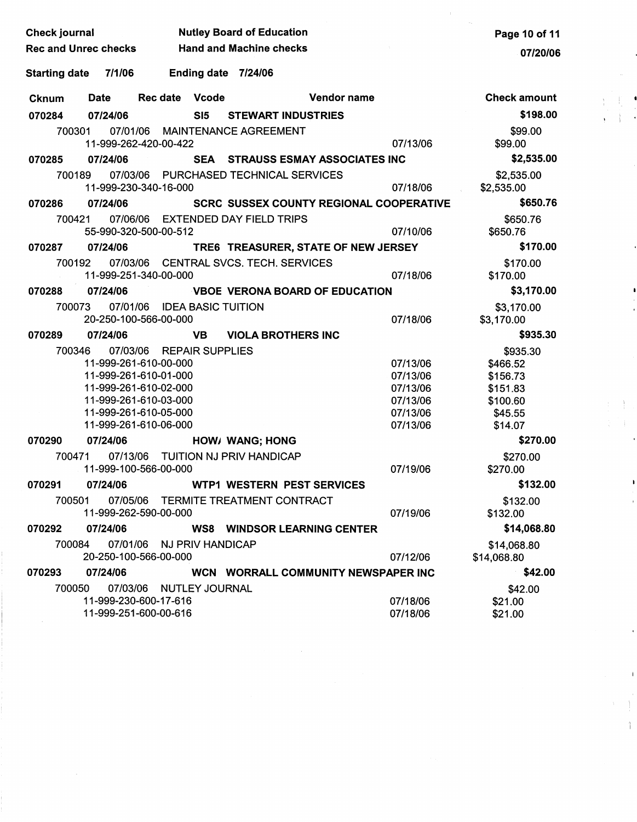| <b>Check journal</b>                                                 |                        | <b>Nutley Board of Education</b>               |                      | Page 10 of 11                 |
|----------------------------------------------------------------------|------------------------|------------------------------------------------|----------------------|-------------------------------|
| <b>Rec and Unrec checks</b>                                          |                        | <b>Hand and Machine checks</b>                 |                      | 07/20/06                      |
| 7/1/06<br><b>Starting date</b>                                       | Ending date 7/24/06    |                                                |                      |                               |
|                                                                      |                        |                                                |                      |                               |
| Date<br><b>Cknum</b>                                                 | Rec date Vcode         | Vendor name                                    |                      | <b>Check amount</b>           |
| 070284<br>07/24/06                                                   | SI5                    | <b>STEWART INDUSTRIES</b>                      |                      | \$198.00                      |
| 700301                                                               |                        | 07/01/06 MAINTENANCE AGREEMENT                 |                      | \$99.00                       |
| 11-999-262-420-00-422                                                |                        |                                                | 07/13/06             | \$99.00                       |
| 07/24/06<br>070285                                                   |                        | SEA STRAUSS ESMAY ASSOCIATES INC               |                      | \$2,535.00                    |
| 700189<br>11-999-230-340-16-000                                      |                        | 07/03/06 PURCHASED TECHNICAL SERVICES          | 07/18/06             | \$2,535.00<br>\$2,535.00      |
| 07/24/06<br>070286                                                   |                        | <b>SCRC SUSSEX COUNTY REGIONAL COOPERATIVE</b> |                      | \$650.76                      |
| 700421<br>55-990-320-500-00-512                                      |                        | 07/06/06 EXTENDED DAY FIELD TRIPS              | 07/10/06             | \$650.76<br>\$650.76          |
| 07/24/06<br>070287                                                   |                        | TRE6 TREASURER, STATE OF NEW JERSEY            |                      | \$170.00                      |
| 700192                                                               |                        | 07/03/06 CENTRAL SVCS. TECH. SERVICES          |                      | \$170.00                      |
| 11-999-251-340-00-000                                                |                        |                                                | 07/18/06             | \$170.00                      |
| 07/24/06<br>070288                                                   |                        | VBOE VERONA BOARD OF EDUCATION                 |                      | \$3,170.00                    |
| 07/01/06 IDEA BASIC TUITION<br>700073                                |                        |                                                |                      | \$3,170.00                    |
| 20-250-100-566-00-000                                                |                        |                                                | 07/18/06             | \$3,170.00                    |
| 07/24/06<br>070289                                                   | <b>VB</b>              | <b>VIOLA BROTHERS INC</b>                      |                      | \$935.30                      |
| 700346<br>07/03/06                                                   | <b>REPAIR SUPPLIES</b> |                                                |                      | \$935.30                      |
| 11-999-261-610-00-000                                                |                        |                                                | 07/13/06             | \$466.52                      |
| 11-999-261-610-01-000                                                |                        |                                                | 07/13/06             | \$156.73                      |
| 11-999-261-610-02-000                                                |                        |                                                | 07/13/06             | \$151.83                      |
| 11-999-261-610-03-000<br>11-999-261-610-05-000                       |                        |                                                | 07/13/06<br>07/13/06 | \$100.60                      |
| 11-999-261-610-06-000                                                |                        |                                                | 07/13/06             | \$45.55<br>\$14.07            |
| 07/24/06                                                             |                        |                                                |                      | \$270.00                      |
| 070290                                                               |                        | HOW/ WANG; HONG                                |                      |                               |
| 700471<br>11-999-100-566-00-000                                      |                        | 07/13/06 TUITION NJ PRIV HANDICAP              | 07/19/06             | \$270.00<br>\$270.00          |
| 07/24/06<br>070291                                                   |                        | <b>WTP1 WESTERN PEST SERVICES</b>              |                      | \$132.00                      |
| 07/05/06<br>700501<br>11-999-262-590-00-000                          |                        | TERMITE TREATMENT CONTRACT                     | 07/19/06             | \$132.00<br>\$132.00          |
| 07/24/06<br>070292                                                   |                        | <b>WS8 WINDSOR LEARNING CENTER</b>             |                      | \$14,068.80                   |
| 07/01/06<br>700084<br>20-250-100-566-00-000                          | NJ PRIV HANDICAP       |                                                | 07/12/06             | \$14,068.80<br>\$14,068.80    |
| 07/24/06<br>070293                                                   |                        | WCN WORRALL COMMUNITY NEWSPAPER INC            |                      | \$42.00                       |
| 700050<br>07/03/06<br>11-999-230-600-17-616<br>11-999-251-600-00-616 | NUTLEY JOURNAL         |                                                | 07/18/06<br>07/18/06 | \$42.00<br>\$21.00<br>\$21.00 |

 $\begin{array}{c} \begin{array}{c} \text{ } \\ \text{ } \\ \text{ } \\ \text{ } \\ \text{ } \end{array} \end{array}$ 

 $\begin{array}{c} \left( \begin{array}{c} 1 \\ 1 \end{array} \right) \\ \left( \begin{array}{c} 1 \\ 1 \end{array} \right) \\ \left( \begin{array}{c} 1 \\ 1 \end{array} \right) \end{array}$ 

j

 $\label{eq:2} \frac{1}{\sqrt{2}}\left(\frac{1}{\sqrt{2}}\right)^2\frac{1}{\sqrt{2}}\left(\frac{1}{\sqrt{2}}\right)^2.$